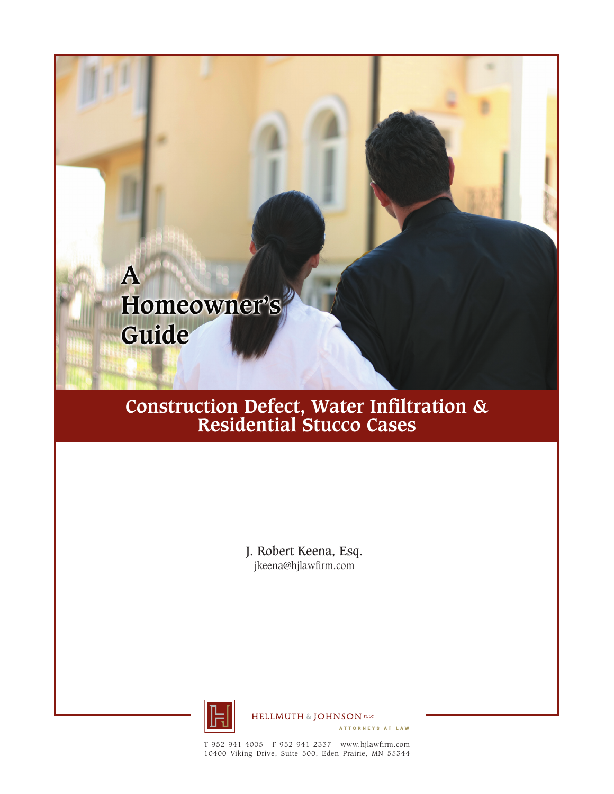

# **Construction Defect, Water Infiltration & Residential Stucco Cases**

J. Robert Keena, Esq. jkeena@hjlawfirm.com



**HELLMUTH & JOHNSON PLEC** 

ATTORNEYS AT LAW

T 952-941-4005 F 952-941-2337 www.hjlawfirm.com 10400 Viking Drive, Suite 500, Eden Prairie, MN 55344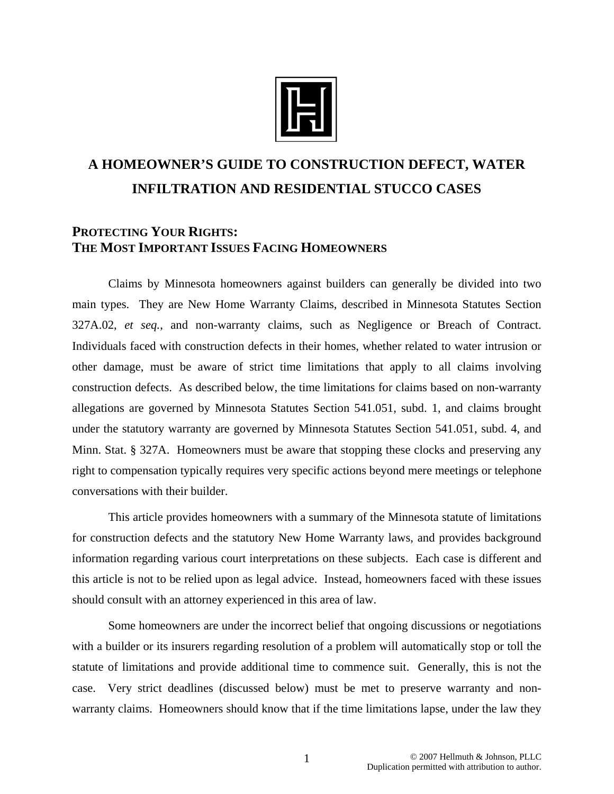

# **A HOMEOWNER'S GUIDE TO CONSTRUCTION DEFECT, WATER INFILTRATION AND RESIDENTIAL STUCCO CASES**

## **PROTECTING YOUR RIGHTS: THE MOST IMPORTANT ISSUES FACING HOMEOWNERS**

 Claims by Minnesota homeowners against builders can generally be divided into two main types. They are New Home Warranty Claims, described in Minnesota Statutes Section 327A.02, *et seq.*, and non-warranty claims, such as Negligence or Breach of Contract. Individuals faced with construction defects in their homes, whether related to water intrusion or other damage, must be aware of strict time limitations that apply to all claims involving construction defects. As described below, the time limitations for claims based on non-warranty allegations are governed by Minnesota Statutes Section 541.051, subd. 1, and claims brought under the statutory warranty are governed by Minnesota Statutes Section 541.051, subd. 4, and Minn. Stat. § 327A. Homeowners must be aware that stopping these clocks and preserving any right to compensation typically requires very specific actions beyond mere meetings or telephone conversations with their builder.

This article provides homeowners with a summary of the Minnesota statute of limitations for construction defects and the statutory New Home Warranty laws, and provides background information regarding various court interpretations on these subjects. Each case is different and this article is not to be relied upon as legal advice. Instead, homeowners faced with these issues should consult with an attorney experienced in this area of law.

Some homeowners are under the incorrect belief that ongoing discussions or negotiations with a builder or its insurers regarding resolution of a problem will automatically stop or toll the statute of limitations and provide additional time to commence suit. Generally, this is not the case. Very strict deadlines (discussed below) must be met to preserve warranty and nonwarranty claims. Homeowners should know that if the time limitations lapse, under the law they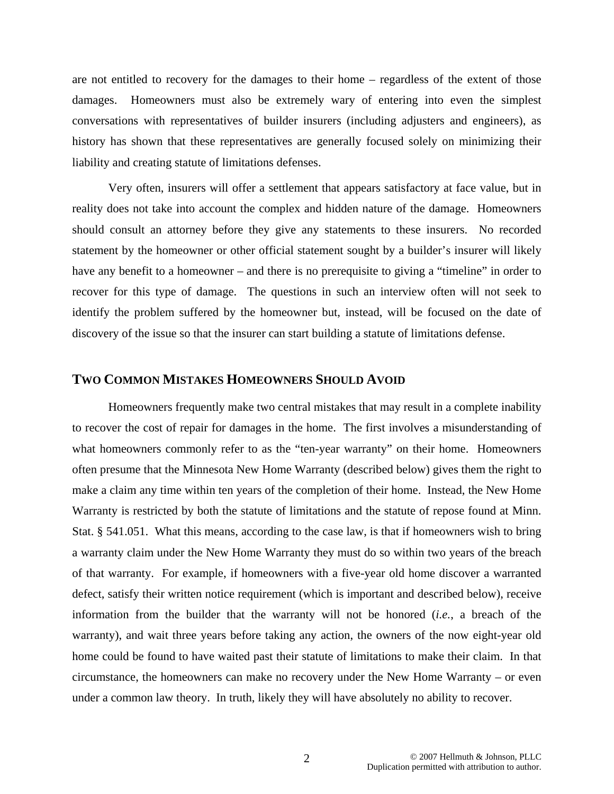are not entitled to recovery for the damages to their home – regardless of the extent of those damages. Homeowners must also be extremely wary of entering into even the simplest conversations with representatives of builder insurers (including adjusters and engineers), as history has shown that these representatives are generally focused solely on minimizing their liability and creating statute of limitations defenses.

Very often, insurers will offer a settlement that appears satisfactory at face value, but in reality does not take into account the complex and hidden nature of the damage. Homeowners should consult an attorney before they give any statements to these insurers. No recorded statement by the homeowner or other official statement sought by a builder's insurer will likely have any benefit to a homeowner – and there is no prerequisite to giving a "timeline" in order to recover for this type of damage. The questions in such an interview often will not seek to identify the problem suffered by the homeowner but, instead, will be focused on the date of discovery of the issue so that the insurer can start building a statute of limitations defense.

#### **TWO COMMON MISTAKES HOMEOWNERS SHOULD AVOID**

Homeowners frequently make two central mistakes that may result in a complete inability to recover the cost of repair for damages in the home. The first involves a misunderstanding of what homeowners commonly refer to as the "ten-year warranty" on their home. Homeowners often presume that the Minnesota New Home Warranty (described below) gives them the right to make a claim any time within ten years of the completion of their home. Instead, the New Home Warranty is restricted by both the statute of limitations and the statute of repose found at Minn. Stat. § 541.051. What this means, according to the case law, is that if homeowners wish to bring a warranty claim under the New Home Warranty they must do so within two years of the breach of that warranty. For example, if homeowners with a five-year old home discover a warranted defect, satisfy their written notice requirement (which is important and described below), receive information from the builder that the warranty will not be honored (*i.e.*, a breach of the warranty), and wait three years before taking any action, the owners of the now eight-year old home could be found to have waited past their statute of limitations to make their claim. In that circumstance, the homeowners can make no recovery under the New Home Warranty – or even under a common law theory. In truth, likely they will have absolutely no ability to recover.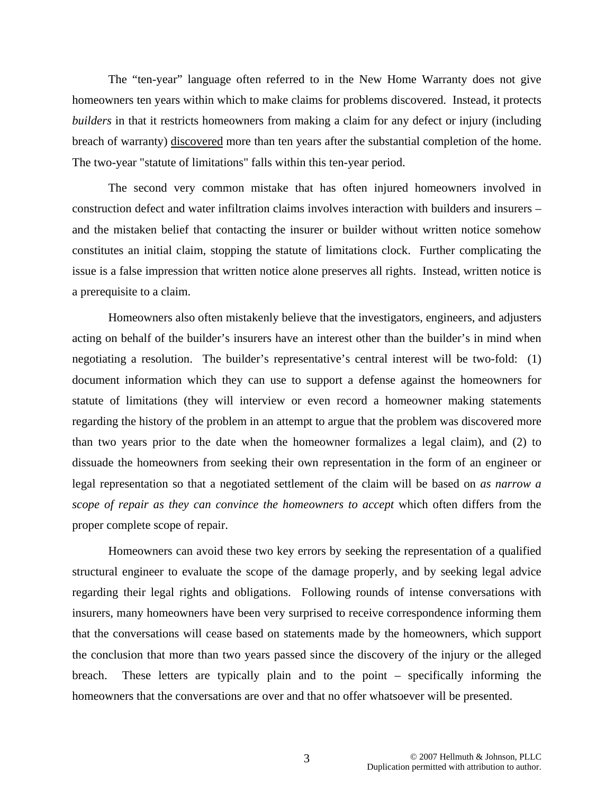The "ten-year" language often referred to in the New Home Warranty does not give homeowners ten years within which to make claims for problems discovered. Instead, it protects *builders* in that it restricts homeowners from making a claim for any defect or injury (including breach of warranty) discovered more than ten years after the substantial completion of the home. The two-year "statute of limitations" falls within this ten-year period.

The second very common mistake that has often injured homeowners involved in construction defect and water infiltration claims involves interaction with builders and insurers – and the mistaken belief that contacting the insurer or builder without written notice somehow constitutes an initial claim, stopping the statute of limitations clock. Further complicating the issue is a false impression that written notice alone preserves all rights. Instead, written notice is a prerequisite to a claim.

Homeowners also often mistakenly believe that the investigators, engineers, and adjusters acting on behalf of the builder's insurers have an interest other than the builder's in mind when negotiating a resolution. The builder's representative's central interest will be two-fold: (1) document information which they can use to support a defense against the homeowners for statute of limitations (they will interview or even record a homeowner making statements regarding the history of the problem in an attempt to argue that the problem was discovered more than two years prior to the date when the homeowner formalizes a legal claim), and (2) to dissuade the homeowners from seeking their own representation in the form of an engineer or legal representation so that a negotiated settlement of the claim will be based on *as narrow a scope of repair as they can convince the homeowners to accept* which often differs from the proper complete scope of repair.

Homeowners can avoid these two key errors by seeking the representation of a qualified structural engineer to evaluate the scope of the damage properly, and by seeking legal advice regarding their legal rights and obligations. Following rounds of intense conversations with insurers, many homeowners have been very surprised to receive correspondence informing them that the conversations will cease based on statements made by the homeowners, which support the conclusion that more than two years passed since the discovery of the injury or the alleged breach. These letters are typically plain and to the point – specifically informing the homeowners that the conversations are over and that no offer whatsoever will be presented.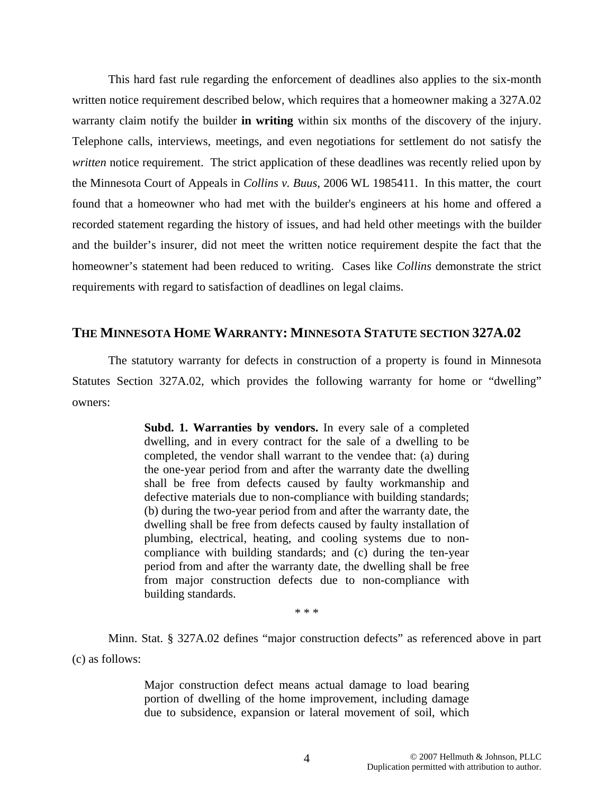This hard fast rule regarding the enforcement of deadlines also applies to the six-month written notice requirement described below, which requires that a homeowner making a 327A.02 warranty claim notify the builder **in writing** within six months of the discovery of the injury. Telephone calls, interviews, meetings, and even negotiations for settlement do not satisfy the *written* notice requirement. The strict application of these deadlines was recently relied upon by the Minnesota Court of Appeals in *Collins v. Buus*, 2006 WL 1985411. In this matter, the court found that a homeowner who had met with the builder's engineers at his home and offered a recorded statement regarding the history of issues, and had held other meetings with the builder and the builder's insurer, did not meet the written notice requirement despite the fact that the homeowner's statement had been reduced to writing. Cases like *Collins* demonstrate the strict requirements with regard to satisfaction of deadlines on legal claims.

#### **THE MINNESOTA HOME WARRANTY: MINNESOTA STATUTE SECTION 327A.02**

 The statutory warranty for defects in construction of a property is found in Minnesota Statutes Section 327A.02, which provides the following warranty for home or "dwelling" owners:

> **Subd. 1. Warranties by vendors.** In every sale of a completed dwelling, and in every contract for the sale of a dwelling to be completed, the vendor shall warrant to the vendee that: (a) during the one-year period from and after the warranty date the dwelling shall be free from defects caused by faulty workmanship and defective materials due to non-compliance with building standards; (b) during the two-year period from and after the warranty date, the dwelling shall be free from defects caused by faulty installation of plumbing, electrical, heating, and cooling systems due to noncompliance with building standards; and (c) during the ten-year period from and after the warranty date, the dwelling shall be free from major construction defects due to non-compliance with building standards.

> > \* \* \*

Minn. Stat. § 327A.02 defines "major construction defects" as referenced above in part (c) as follows:

> Major construction defect means actual damage to load bearing portion of dwelling of the home improvement, including damage due to subsidence, expansion or lateral movement of soil, which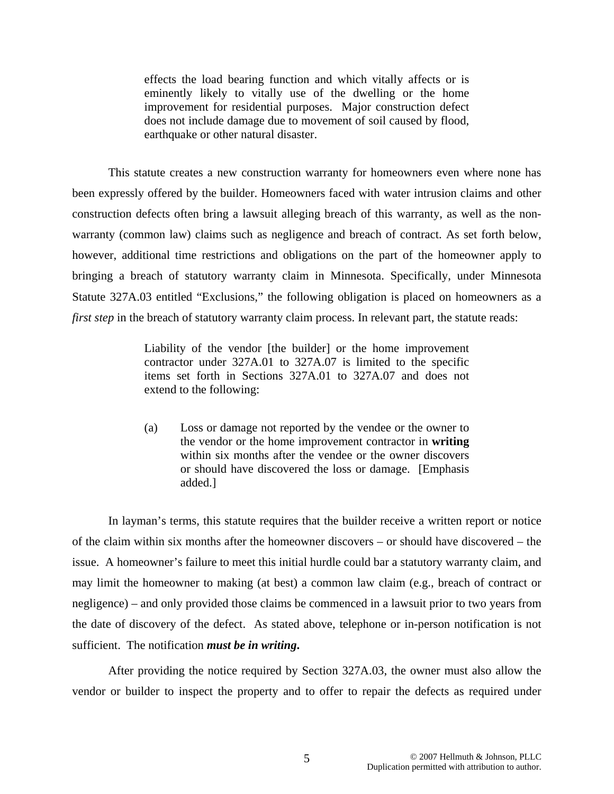effects the load bearing function and which vitally affects or is eminently likely to vitally use of the dwelling or the home improvement for residential purposes. Major construction defect does not include damage due to movement of soil caused by flood, earthquake or other natural disaster.

This statute creates a new construction warranty for homeowners even where none has been expressly offered by the builder. Homeowners faced with water intrusion claims and other construction defects often bring a lawsuit alleging breach of this warranty, as well as the nonwarranty (common law) claims such as negligence and breach of contract. As set forth below, however, additional time restrictions and obligations on the part of the homeowner apply to bringing a breach of statutory warranty claim in Minnesota. Specifically, under Minnesota Statute 327A.03 entitled "Exclusions," the following obligation is placed on homeowners as a *first step* in the breach of statutory warranty claim process. In relevant part, the statute reads:

> Liability of the vendor [the builder] or the home improvement contractor under 327A.01 to 327A.07 is limited to the specific items set forth in Sections 327A.01 to 327A.07 and does not extend to the following:

> (a) Loss or damage not reported by the vendee or the owner to the vendor or the home improvement contractor in **writing** within six months after the vendee or the owner discovers or should have discovered the loss or damage. [Emphasis added.]

In layman's terms, this statute requires that the builder receive a written report or notice of the claim within six months after the homeowner discovers – or should have discovered – the issue. A homeowner's failure to meet this initial hurdle could bar a statutory warranty claim, and may limit the homeowner to making (at best) a common law claim (e.g., breach of contract or negligence) – and only provided those claims be commenced in a lawsuit prior to two years from the date of discovery of the defect. As stated above, telephone or in-person notification is not sufficient. The notification *must be in writing***.** 

After providing the notice required by Section 327A.03, the owner must also allow the vendor or builder to inspect the property and to offer to repair the defects as required under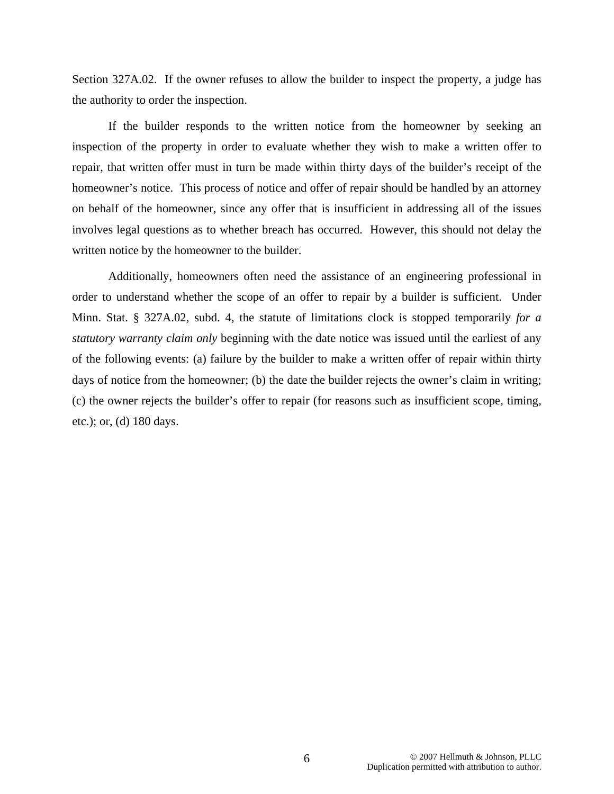Section 327A.02. If the owner refuses to allow the builder to inspect the property, a judge has the authority to order the inspection.

If the builder responds to the written notice from the homeowner by seeking an inspection of the property in order to evaluate whether they wish to make a written offer to repair, that written offer must in turn be made within thirty days of the builder's receipt of the homeowner's notice. This process of notice and offer of repair should be handled by an attorney on behalf of the homeowner, since any offer that is insufficient in addressing all of the issues involves legal questions as to whether breach has occurred. However, this should not delay the written notice by the homeowner to the builder.

Additionally, homeowners often need the assistance of an engineering professional in order to understand whether the scope of an offer to repair by a builder is sufficient. Under Minn. Stat. § 327A.02, subd. 4, the statute of limitations clock is stopped temporarily *for a statutory warranty claim only* beginning with the date notice was issued until the earliest of any of the following events: (a) failure by the builder to make a written offer of repair within thirty days of notice from the homeowner; (b) the date the builder rejects the owner's claim in writing; (c) the owner rejects the builder's offer to repair (for reasons such as insufficient scope, timing, etc.); or, (d) 180 days.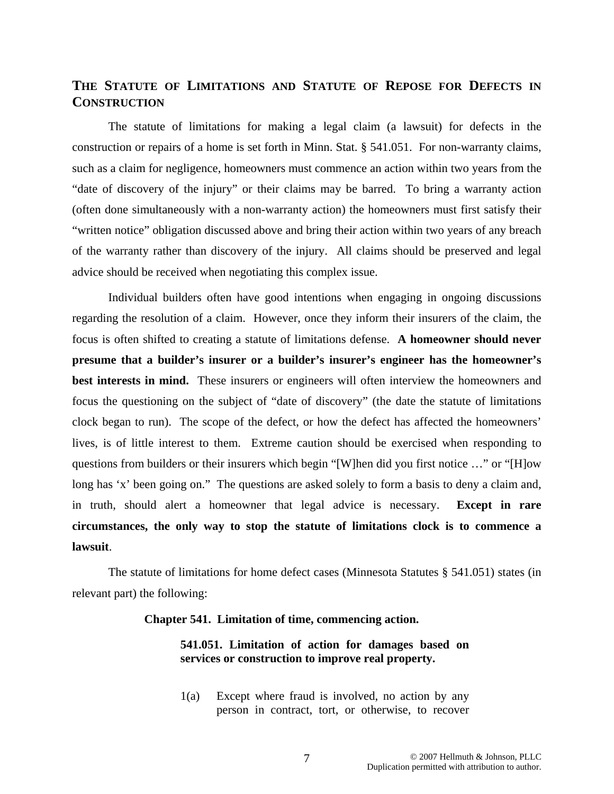### **THE STATUTE OF LIMITATIONS AND STATUTE OF REPOSE FOR DEFECTS IN CONSTRUCTION**

 The statute of limitations for making a legal claim (a lawsuit) for defects in the construction or repairs of a home is set forth in Minn. Stat. § 541.051. For non-warranty claims, such as a claim for negligence, homeowners must commence an action within two years from the "date of discovery of the injury" or their claims may be barred. To bring a warranty action (often done simultaneously with a non-warranty action) the homeowners must first satisfy their "written notice" obligation discussed above and bring their action within two years of any breach of the warranty rather than discovery of the injury. All claims should be preserved and legal advice should be received when negotiating this complex issue.

 Individual builders often have good intentions when engaging in ongoing discussions regarding the resolution of a claim. However, once they inform their insurers of the claim, the focus is often shifted to creating a statute of limitations defense. **A homeowner should never presume that a builder's insurer or a builder's insurer's engineer has the homeowner's best interests in mind.** These insurers or engineers will often interview the homeowners and focus the questioning on the subject of "date of discovery" (the date the statute of limitations clock began to run). The scope of the defect, or how the defect has affected the homeowners' lives, is of little interest to them. Extreme caution should be exercised when responding to questions from builders or their insurers which begin "[W]hen did you first notice …" or "[H]ow long has 'x' been going on." The questions are asked solely to form a basis to deny a claim and, in truth, should alert a homeowner that legal advice is necessary. **Except in rare circumstances, the only way to stop the statute of limitations clock is to commence a lawsuit**.

The statute of limitations for home defect cases (Minnesota Statutes § 541.051) states (in relevant part) the following:

#### **Chapter 541. Limitation of time, commencing action.**

#### **541.051. Limitation of action for damages based on services or construction to improve real property.**

1(a) Except where fraud is involved, no action by any person in contract, tort, or otherwise, to recover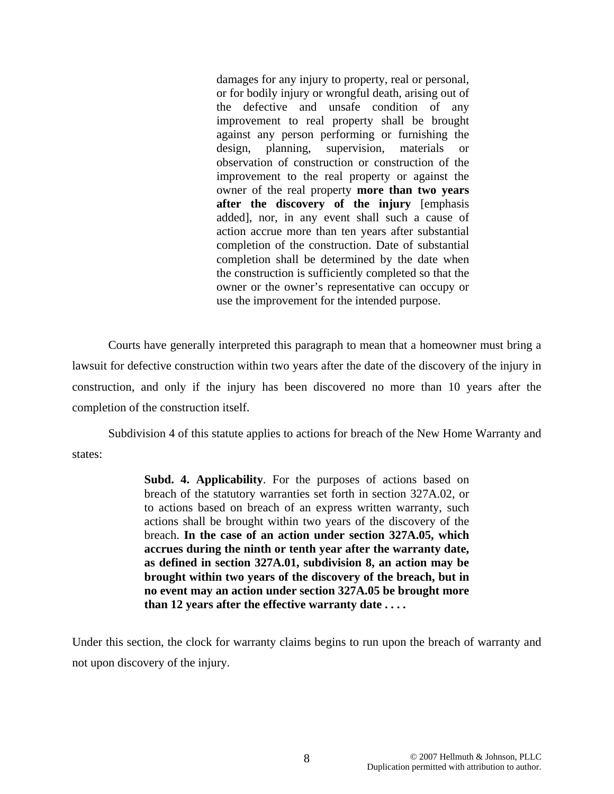damages for any injury to property, real or personal, or for bodily injury or wrongful death, arising out of the defective and unsafe condition of any improvement to real property shall be brought against any person performing or furnishing the design, planning, supervision, materials or observation of construction or construction of the improvement to the real property or against the owner of the real property **more than two years after the discovery of the injury** [emphasis added], nor, in any event shall such a cause of action accrue more than ten years after substantial completion of the construction. Date of substantial completion shall be determined by the date when the construction is sufficiently completed so that the owner or the owner's representative can occupy or use the improvement for the intended purpose.

Courts have generally interpreted this paragraph to mean that a homeowner must bring a lawsuit for defective construction within two years after the date of the discovery of the injury in construction, and only if the injury has been discovered no more than 10 years after the completion of the construction itself.

Subdivision 4 of this statute applies to actions for breach of the New Home Warranty and states:

> **Subd. 4. Applicability**. For the purposes of actions based on breach of the statutory warranties set forth in section 327A.02, or to actions based on breach of an express written warranty, such actions shall be brought within two years of the discovery of the breach. **In the case of an action under section 327A.05, which accrues during the ninth or tenth year after the warranty date, as defined in section 327A.01, subdivision 8, an action may be brought within two years of the discovery of the breach, but in no event may an action under section 327A.05 be brought more than 12 years after the effective warranty date . . . .**

Under this section, the clock for warranty claims begins to run upon the breach of warranty and not upon discovery of the injury.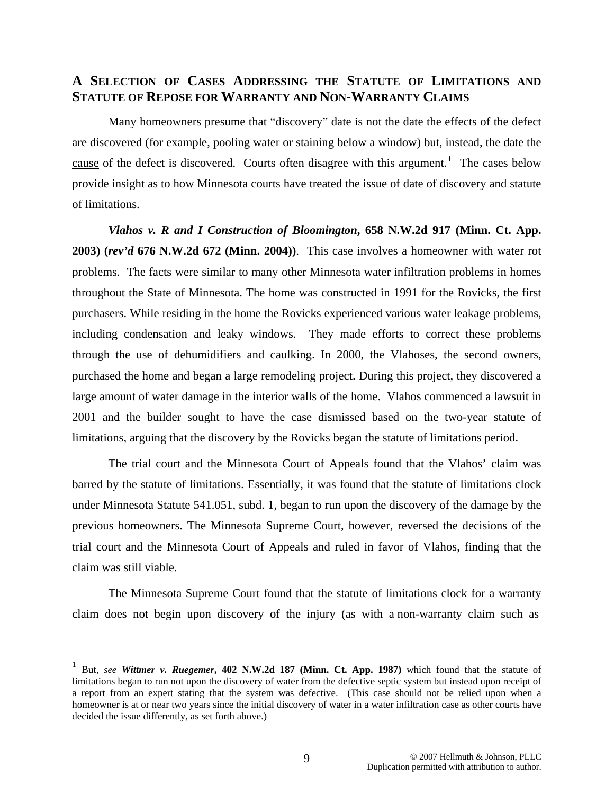### **A SELECTION OF CASES ADDRESSING THE STATUTE OF LIMITATIONS AND STATUTE OF REPOSE FOR WARRANTY AND NON-WARRANTY CLAIMS**

Many homeowners presume that "discovery" date is not the date the effects of the defect are discovered (for example, pooling water or staining below a window) but, instead, the date the cause of the defect is discovered. Courts often disagree with this argument.<sup>[1](#page-9-0)</sup> The cases below provide insight as to how Minnesota courts have treated the issue of date of discovery and statute of limitations.

*Vlahos v. R and I Construction of Bloomington***, 658 N.W.2d 917 (Minn. Ct. App. 2003) (***rev'd* **676 N.W.2d 672 (Minn. 2004))**. This case involves a homeowner with water rot problems. The facts were similar to many other Minnesota water infiltration problems in homes throughout the State of Minnesota. The home was constructed in 1991 for the Rovicks, the first purchasers. While residing in the home the Rovicks experienced various water leakage problems, including condensation and leaky windows. They made efforts to correct these problems through the use of dehumidifiers and caulking. In 2000, the Vlahoses, the second owners, purchased the home and began a large remodeling project. During this project, they discovered a large amount of water damage in the interior walls of the home. Vlahos commenced a lawsuit in 2001 and the builder sought to have the case dismissed based on the two-year statute of limitations, arguing that the discovery by the Rovicks began the statute of limitations period.

The trial court and the Minnesota Court of Appeals found that the Vlahos' claim was barred by the statute of limitations. Essentially, it was found that the statute of limitations clock under Minnesota Statute 541.051, subd. 1, began to run upon the discovery of the damage by the previous homeowners. The Minnesota Supreme Court, however, reversed the decisions of the trial court and the Minnesota Court of Appeals and ruled in favor of Vlahos, finding that the claim was still viable.

 The Minnesota Supreme Court found that the statute of limitations clock for a warranty claim does not begin upon discovery of the injury (as with a non-warranty claim such as

 $\overline{a}$ 

<span id="page-9-0"></span><sup>1</sup> But, *see Wittmer v. Ruegemer***, 402 N.W.2d 187 (Minn. Ct. App. 1987)** which found that the statute of limitations began to run not upon the discovery of water from the defective septic system but instead upon receipt of a report from an expert stating that the system was defective. (This case should not be relied upon when a homeowner is at or near two years since the initial discovery of water in a water infiltration case as other courts have decided the issue differently, as set forth above.)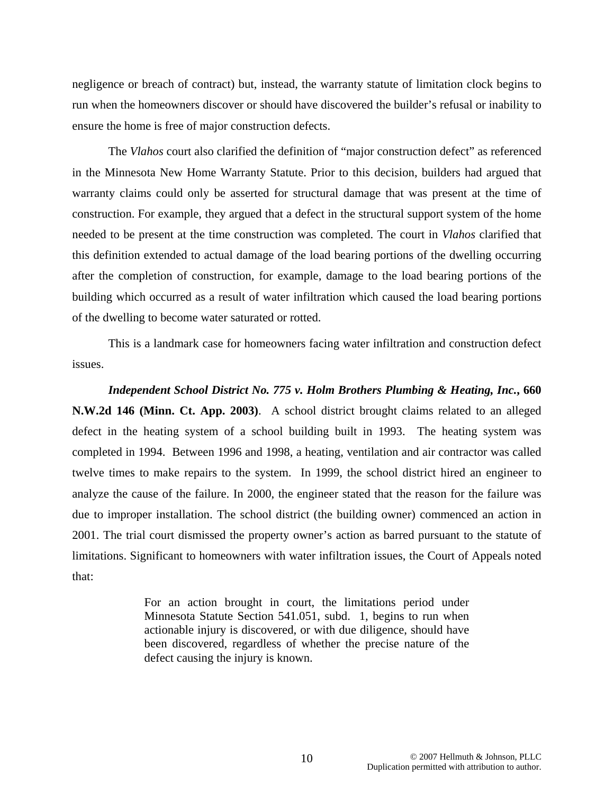negligence or breach of contract) but, instead, the warranty statute of limitation clock begins to run when the homeowners discover or should have discovered the builder's refusal or inability to ensure the home is free of major construction defects.

 The *Vlahos* court also clarified the definition of "major construction defect" as referenced in the Minnesota New Home Warranty Statute. Prior to this decision, builders had argued that warranty claims could only be asserted for structural damage that was present at the time of construction. For example, they argued that a defect in the structural support system of the home needed to be present at the time construction was completed. The court in *Vlahos* clarified that this definition extended to actual damage of the load bearing portions of the dwelling occurring after the completion of construction, for example, damage to the load bearing portions of the building which occurred as a result of water infiltration which caused the load bearing portions of the dwelling to become water saturated or rotted.

 This is a landmark case for homeowners facing water infiltration and construction defect issues.

*Independent School District No. 775 v. Holm Brothers Plumbing & Heating, Inc.***, 660 N.W.2d 146 (Minn. Ct. App. 2003)**. A school district brought claims related to an alleged defect in the heating system of a school building built in 1993. The heating system was completed in 1994. Between 1996 and 1998, a heating, ventilation and air contractor was called twelve times to make repairs to the system. In 1999, the school district hired an engineer to analyze the cause of the failure. In 2000, the engineer stated that the reason for the failure was due to improper installation. The school district (the building owner) commenced an action in 2001. The trial court dismissed the property owner's action as barred pursuant to the statute of limitations. Significant to homeowners with water infiltration issues, the Court of Appeals noted that:

> For an action brought in court, the limitations period under Minnesota Statute Section 541.051, subd. 1, begins to run when actionable injury is discovered, or with due diligence, should have been discovered, regardless of whether the precise nature of the defect causing the injury is known.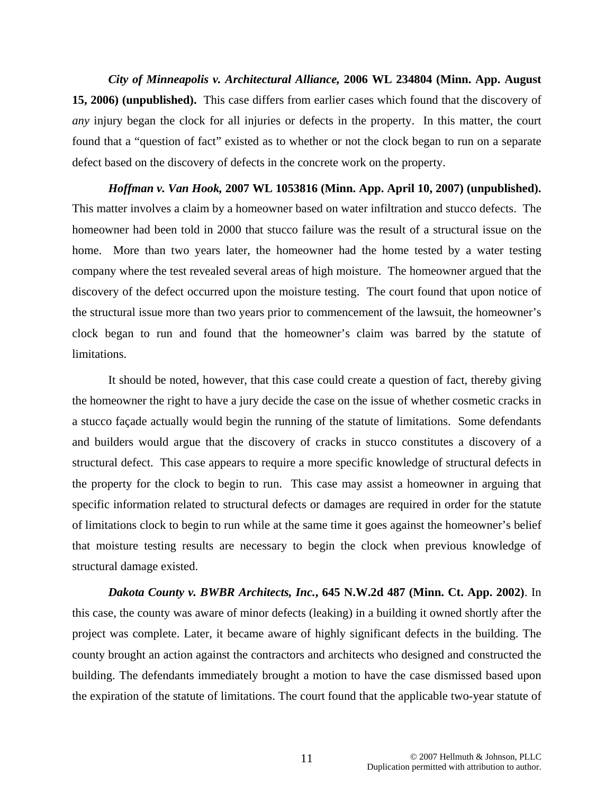*City of Minneapolis v. Architectural Alliance,* **2006 WL 234804 (Minn. App. August 15, 2006) (unpublished).** This case differs from earlier cases which found that the discovery of *any* injury began the clock for all injuries or defects in the property. In this matter, the court found that a "question of fact" existed as to whether or not the clock began to run on a separate defect based on the discovery of defects in the concrete work on the property.

*Hoffman v. Van Hook,* **2007 WL 1053816 (Minn. App. April 10, 2007) (unpublished).**  This matter involves a claim by a homeowner based on water infiltration and stucco defects. The homeowner had been told in 2000 that stucco failure was the result of a structural issue on the home. More than two years later, the homeowner had the home tested by a water testing company where the test revealed several areas of high moisture. The homeowner argued that the discovery of the defect occurred upon the moisture testing. The court found that upon notice of the structural issue more than two years prior to commencement of the lawsuit, the homeowner's clock began to run and found that the homeowner's claim was barred by the statute of limitations.

It should be noted, however, that this case could create a question of fact, thereby giving the homeowner the right to have a jury decide the case on the issue of whether cosmetic cracks in a stucco façade actually would begin the running of the statute of limitations. Some defendants and builders would argue that the discovery of cracks in stucco constitutes a discovery of a structural defect. This case appears to require a more specific knowledge of structural defects in the property for the clock to begin to run. This case may assist a homeowner in arguing that specific information related to structural defects or damages are required in order for the statute of limitations clock to begin to run while at the same time it goes against the homeowner's belief that moisture testing results are necessary to begin the clock when previous knowledge of structural damage existed.

*Dakota County v. BWBR Architects, Inc.***, 645 N.W.2d 487 (Minn. Ct. App. 2002)**. In this case, the county was aware of minor defects (leaking) in a building it owned shortly after the project was complete. Later, it became aware of highly significant defects in the building. The county brought an action against the contractors and architects who designed and constructed the building. The defendants immediately brought a motion to have the case dismissed based upon the expiration of the statute of limitations. The court found that the applicable two-year statute of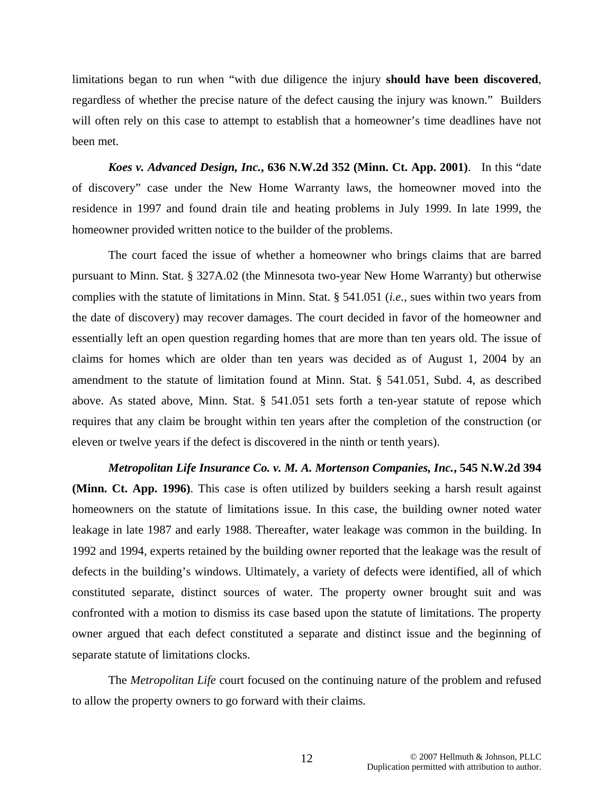limitations began to run when "with due diligence the injury **should have been discovered**, regardless of whether the precise nature of the defect causing the injury was known." Builders will often rely on this case to attempt to establish that a homeowner's time deadlines have not been met.

*Koes v. Advanced Design, Inc.***, 636 N.W.2d 352 (Minn. Ct. App. 2001)**. In this "date of discovery" case under the New Home Warranty laws, the homeowner moved into the residence in 1997 and found drain tile and heating problems in July 1999. In late 1999, the homeowner provided written notice to the builder of the problems.

The court faced the issue of whether a homeowner who brings claims that are barred pursuant to Minn. Stat. § 327A.02 (the Minnesota two-year New Home Warranty) but otherwise complies with the statute of limitations in Minn. Stat. § 541.051 (*i.e.*, sues within two years from the date of discovery) may recover damages. The court decided in favor of the homeowner and essentially left an open question regarding homes that are more than ten years old. The issue of claims for homes which are older than ten years was decided as of August 1, 2004 by an amendment to the statute of limitation found at Minn. Stat. § 541.051, Subd. 4, as described above. As stated above, Minn. Stat. § 541.051 sets forth a ten-year statute of repose which requires that any claim be brought within ten years after the completion of the construction (or eleven or twelve years if the defect is discovered in the ninth or tenth years).

*Metropolitan Life Insurance Co. v. M. A. Mortenson Companies, Inc.***, 545 N.W.2d 394 (Minn. Ct. App. 1996)**. This case is often utilized by builders seeking a harsh result against homeowners on the statute of limitations issue. In this case, the building owner noted water leakage in late 1987 and early 1988. Thereafter, water leakage was common in the building. In 1992 and 1994, experts retained by the building owner reported that the leakage was the result of defects in the building's windows. Ultimately, a variety of defects were identified, all of which constituted separate, distinct sources of water. The property owner brought suit and was confronted with a motion to dismiss its case based upon the statute of limitations. The property owner argued that each defect constituted a separate and distinct issue and the beginning of separate statute of limitations clocks.

The *Metropolitan Life* court focused on the continuing nature of the problem and refused to allow the property owners to go forward with their claims.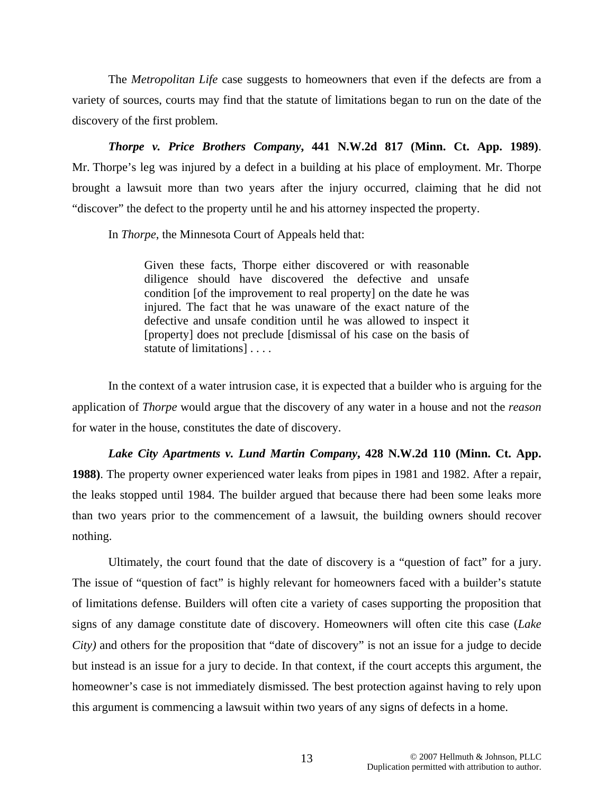The *Metropolitan Life* case suggests to homeowners that even if the defects are from a variety of sources, courts may find that the statute of limitations began to run on the date of the discovery of the first problem.

*Thorpe v. Price Brothers Company***, 441 N.W.2d 817 (Minn. Ct. App. 1989)**. Mr. Thorpe's leg was injured by a defect in a building at his place of employment. Mr. Thorpe brought a lawsuit more than two years after the injury occurred, claiming that he did not "discover" the defect to the property until he and his attorney inspected the property.

In *Thorpe*, the Minnesota Court of Appeals held that:

Given these facts, Thorpe either discovered or with reasonable diligence should have discovered the defective and unsafe condition [of the improvement to real property] on the date he was injured. The fact that he was unaware of the exact nature of the defective and unsafe condition until he was allowed to inspect it [property] does not preclude [dismissal of his case on the basis of statute of limitations] . . . .

 In the context of a water intrusion case, it is expected that a builder who is arguing for the application of *Thorpe* would argue that the discovery of any water in a house and not the *reason*  for water in the house, constitutes the date of discovery.

*Lake City Apartments v. Lund Martin Company***, 428 N.W.2d 110 (Minn. Ct. App. 1988)**. The property owner experienced water leaks from pipes in 1981 and 1982. After a repair, the leaks stopped until 1984. The builder argued that because there had been some leaks more than two years prior to the commencement of a lawsuit, the building owners should recover nothing.

Ultimately, the court found that the date of discovery is a "question of fact" for a jury. The issue of "question of fact" is highly relevant for homeowners faced with a builder's statute of limitations defense. Builders will often cite a variety of cases supporting the proposition that signs of any damage constitute date of discovery. Homeowners will often cite this case (*Lake City)* and others for the proposition that "date of discovery" is not an issue for a judge to decide but instead is an issue for a jury to decide. In that context, if the court accepts this argument, the homeowner's case is not immediately dismissed. The best protection against having to rely upon this argument is commencing a lawsuit within two years of any signs of defects in a home.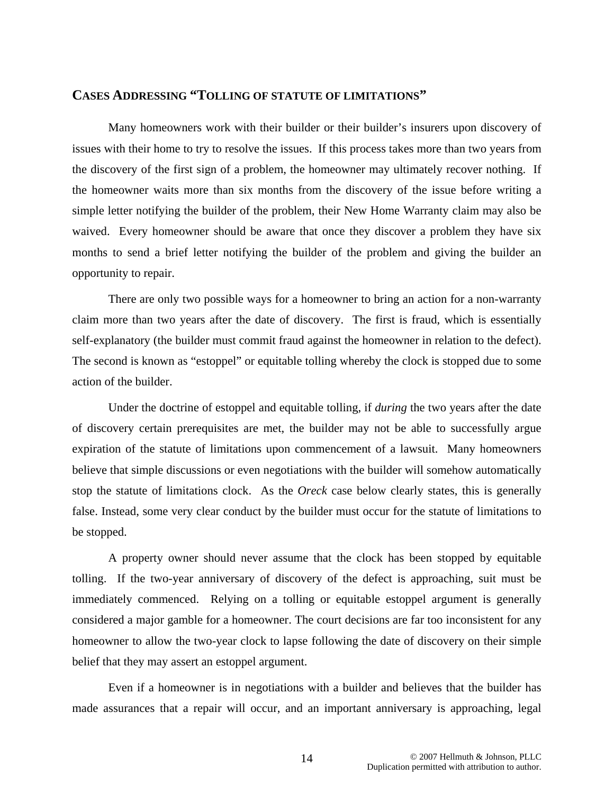# **CASES ADDRESSING "TOLLING OF STATUTE OF LIMITATIONS"**

 Many homeowners work with their builder or their builder's insurers upon discovery of issues with their home to try to resolve the issues. If this process takes more than two years from the discovery of the first sign of a problem, the homeowner may ultimately recover nothing. If the homeowner waits more than six months from the discovery of the issue before writing a simple letter notifying the builder of the problem, their New Home Warranty claim may also be waived. Every homeowner should be aware that once they discover a problem they have six months to send a brief letter notifying the builder of the problem and giving the builder an opportunity to repair.

There are only two possible ways for a homeowner to bring an action for a non-warranty claim more than two years after the date of discovery. The first is fraud, which is essentially self-explanatory (the builder must commit fraud against the homeowner in relation to the defect). The second is known as "estoppel" or equitable tolling whereby the clock is stopped due to some action of the builder.

Under the doctrine of estoppel and equitable tolling, if *during* the two years after the date of discovery certain prerequisites are met, the builder may not be able to successfully argue expiration of the statute of limitations upon commencement of a lawsuit. Many homeowners believe that simple discussions or even negotiations with the builder will somehow automatically stop the statute of limitations clock. As the *Oreck* case below clearly states, this is generally false. Instead, some very clear conduct by the builder must occur for the statute of limitations to be stopped.

A property owner should never assume that the clock has been stopped by equitable tolling. If the two-year anniversary of discovery of the defect is approaching, suit must be immediately commenced. Relying on a tolling or equitable estoppel argument is generally considered a major gamble for a homeowner. The court decisions are far too inconsistent for any homeowner to allow the two-year clock to lapse following the date of discovery on their simple belief that they may assert an estoppel argument.

Even if a homeowner is in negotiations with a builder and believes that the builder has made assurances that a repair will occur, and an important anniversary is approaching, legal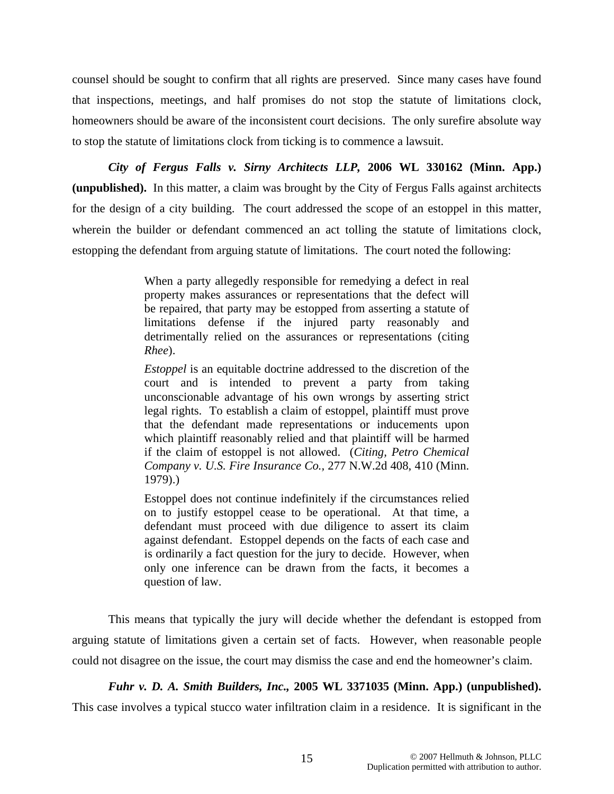counsel should be sought to confirm that all rights are preserved. Since many cases have found that inspections, meetings, and half promises do not stop the statute of limitations clock, homeowners should be aware of the inconsistent court decisions. The only surefire absolute way to stop the statute of limitations clock from ticking is to commence a lawsuit.

*City of Fergus Falls v. Sirny Architects LLP,* **2006 WL 330162 (Minn. App.) (unpublished).** In this matter, a claim was brought by the City of Fergus Falls against architects for the design of a city building. The court addressed the scope of an estoppel in this matter, wherein the builder or defendant commenced an act tolling the statute of limitations clock, estopping the defendant from arguing statute of limitations. The court noted the following:

> When a party allegedly responsible for remedying a defect in real property makes assurances or representations that the defect will be repaired, that party may be estopped from asserting a statute of limitations defense if the injured party reasonably and detrimentally relied on the assurances or representations (citing *Rhee*).

> *Estoppel* is an equitable doctrine addressed to the discretion of the court and is intended to prevent a party from taking unconscionable advantage of his own wrongs by asserting strict legal rights. To establish a claim of estoppel, plaintiff must prove that the defendant made representations or inducements upon which plaintiff reasonably relied and that plaintiff will be harmed if the claim of estoppel is not allowed. (*Citing, Petro Chemical Company v. U.S. Fire Insurance Co.,* 277 N.W.2d 408, 410 (Minn. 1979).)

> Estoppel does not continue indefinitely if the circumstances relied on to justify estoppel cease to be operational. At that time, a defendant must proceed with due diligence to assert its claim against defendant. Estoppel depends on the facts of each case and is ordinarily a fact question for the jury to decide. However, when only one inference can be drawn from the facts, it becomes a question of law.

This means that typically the jury will decide whether the defendant is estopped from arguing statute of limitations given a certain set of facts. However, when reasonable people could not disagree on the issue, the court may dismiss the case and end the homeowner's claim.

*Fuhr v. D. A. Smith Builders, Inc.,* **2005 WL 3371035 (Minn. App.) (unpublished).**

This case involves a typical stucco water infiltration claim in a residence. It is significant in the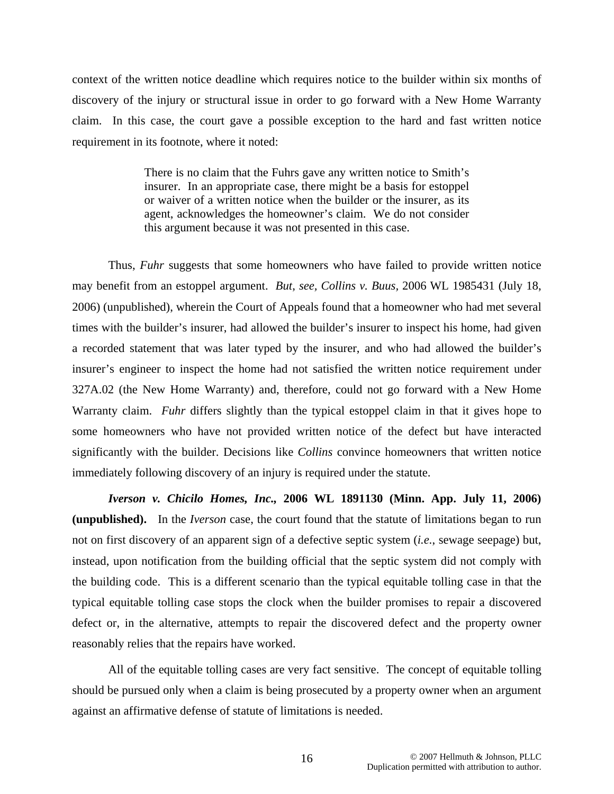context of the written notice deadline which requires notice to the builder within six months of discovery of the injury or structural issue in order to go forward with a New Home Warranty claim. In this case, the court gave a possible exception to the hard and fast written notice requirement in its footnote, where it noted:

> There is no claim that the Fuhrs gave any written notice to Smith's insurer. In an appropriate case, there might be a basis for estoppel or waiver of a written notice when the builder or the insurer, as its agent, acknowledges the homeowner's claim. We do not consider this argument because it was not presented in this case.

Thus, *Fuhr* suggests that some homeowners who have failed to provide written notice may benefit from an estoppel argument. *But*, *see, Collins v. Buus,* 2006 WL 1985431 (July 18, 2006) (unpublished), wherein the Court of Appeals found that a homeowner who had met several times with the builder's insurer, had allowed the builder's insurer to inspect his home, had given a recorded statement that was later typed by the insurer, and who had allowed the builder's insurer's engineer to inspect the home had not satisfied the written notice requirement under 327A.02 (the New Home Warranty) and, therefore, could not go forward with a New Home Warranty claim. *Fuhr* differs slightly than the typical estoppel claim in that it gives hope to some homeowners who have not provided written notice of the defect but have interacted significantly with the builder. Decisions like *Collins* convince homeowners that written notice immediately following discovery of an injury is required under the statute.

*Iverson v. Chicilo Homes, Inc.,* **2006 WL 1891130 (Minn. App. July 11, 2006) (unpublished).** In the *Iverson* case, the court found that the statute of limitations began to run not on first discovery of an apparent sign of a defective septic system (*i.e.*, sewage seepage) but, instead, upon notification from the building official that the septic system did not comply with the building code. This is a different scenario than the typical equitable tolling case in that the typical equitable tolling case stops the clock when the builder promises to repair a discovered defect or, in the alternative, attempts to repair the discovered defect and the property owner reasonably relies that the repairs have worked.

All of the equitable tolling cases are very fact sensitive. The concept of equitable tolling should be pursued only when a claim is being prosecuted by a property owner when an argument against an affirmative defense of statute of limitations is needed.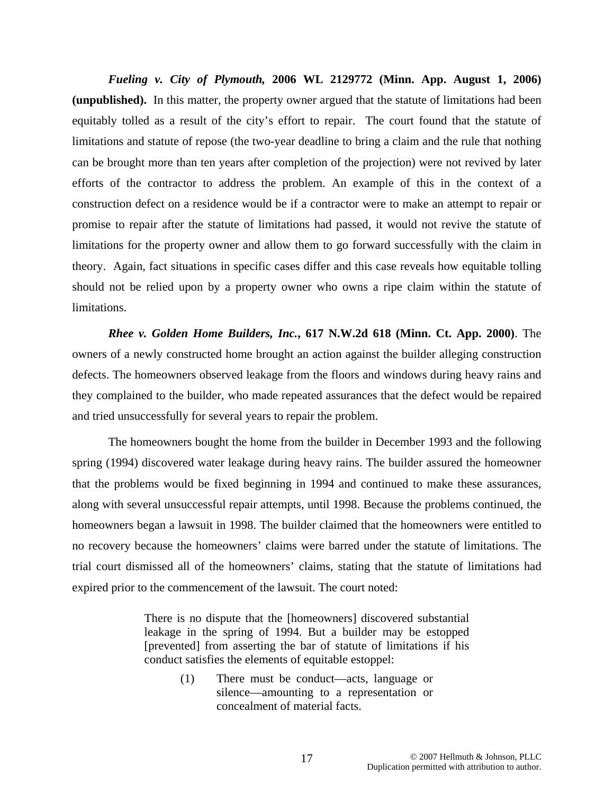*Fueling v. City of Plymouth,* **2006 WL 2129772 (Minn. App. August 1, 2006) (unpublished).** In this matter, the property owner argued that the statute of limitations had been equitably tolled as a result of the city's effort to repair. The court found that the statute of limitations and statute of repose (the two-year deadline to bring a claim and the rule that nothing can be brought more than ten years after completion of the projection) were not revived by later efforts of the contractor to address the problem. An example of this in the context of a construction defect on a residence would be if a contractor were to make an attempt to repair or promise to repair after the statute of limitations had passed, it would not revive the statute of limitations for the property owner and allow them to go forward successfully with the claim in theory. Again, fact situations in specific cases differ and this case reveals how equitable tolling should not be relied upon by a property owner who owns a ripe claim within the statute of limitations.

*Rhee v. Golden Home Builders, Inc.***, 617 N.W.2d 618 (Minn. Ct. App. 2000)**. The owners of a newly constructed home brought an action against the builder alleging construction defects. The homeowners observed leakage from the floors and windows during heavy rains and they complained to the builder, who made repeated assurances that the defect would be repaired and tried unsuccessfully for several years to repair the problem.

 The homeowners bought the home from the builder in December 1993 and the following spring (1994) discovered water leakage during heavy rains. The builder assured the homeowner that the problems would be fixed beginning in 1994 and continued to make these assurances, along with several unsuccessful repair attempts, until 1998. Because the problems continued, the homeowners began a lawsuit in 1998. The builder claimed that the homeowners were entitled to no recovery because the homeowners' claims were barred under the statute of limitations. The trial court dismissed all of the homeowners' claims, stating that the statute of limitations had expired prior to the commencement of the lawsuit. The court noted:

> There is no dispute that the [homeowners] discovered substantial leakage in the spring of 1994. But a builder may be estopped [prevented] from asserting the bar of statute of limitations if his conduct satisfies the elements of equitable estoppel:

> > (1) There must be conduct—acts, language or silence—amounting to a representation or concealment of material facts.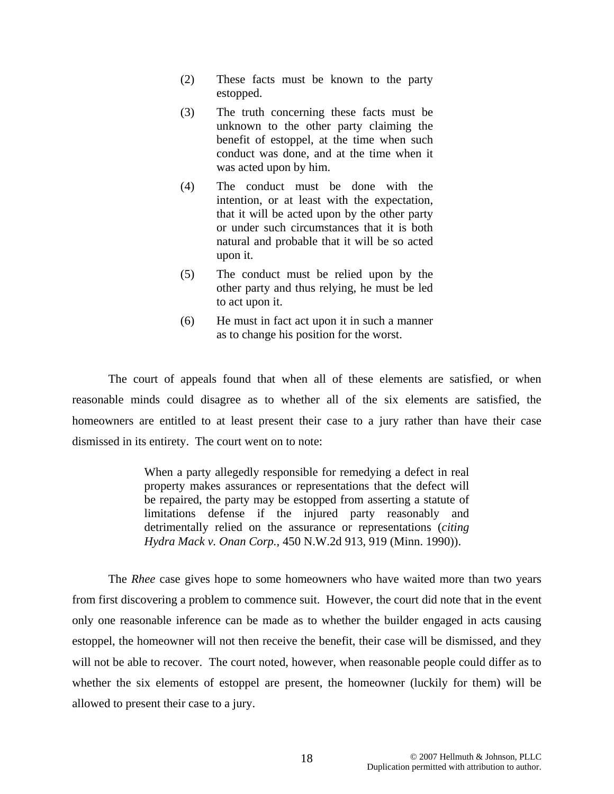- (2) These facts must be known to the party estopped.
- (3) The truth concerning these facts must be unknown to the other party claiming the benefit of estoppel, at the time when such conduct was done, and at the time when it was acted upon by him.
- (4) The conduct must be done with the intention, or at least with the expectation, that it will be acted upon by the other party or under such circumstances that it is both natural and probable that it will be so acted upon it.
- (5) The conduct must be relied upon by the other party and thus relying, he must be led to act upon it.
- (6) He must in fact act upon it in such a manner as to change his position for the worst.

The court of appeals found that when all of these elements are satisfied, or when reasonable minds could disagree as to whether all of the six elements are satisfied, the homeowners are entitled to at least present their case to a jury rather than have their case dismissed in its entirety. The court went on to note:

> When a party allegedly responsible for remedying a defect in real property makes assurances or representations that the defect will be repaired, the party may be estopped from asserting a statute of limitations defense if the injured party reasonably and detrimentally relied on the assurance or representations (*citing Hydra Mack v. Onan Corp.*, 450 N.W.2d 913, 919 (Minn. 1990)).

The *Rhee* case gives hope to some homeowners who have waited more than two years from first discovering a problem to commence suit. However, the court did note that in the event only one reasonable inference can be made as to whether the builder engaged in acts causing estoppel, the homeowner will not then receive the benefit, their case will be dismissed, and they will not be able to recover. The court noted, however, when reasonable people could differ as to whether the six elements of estoppel are present, the homeowner (luckily for them) will be allowed to present their case to a jury.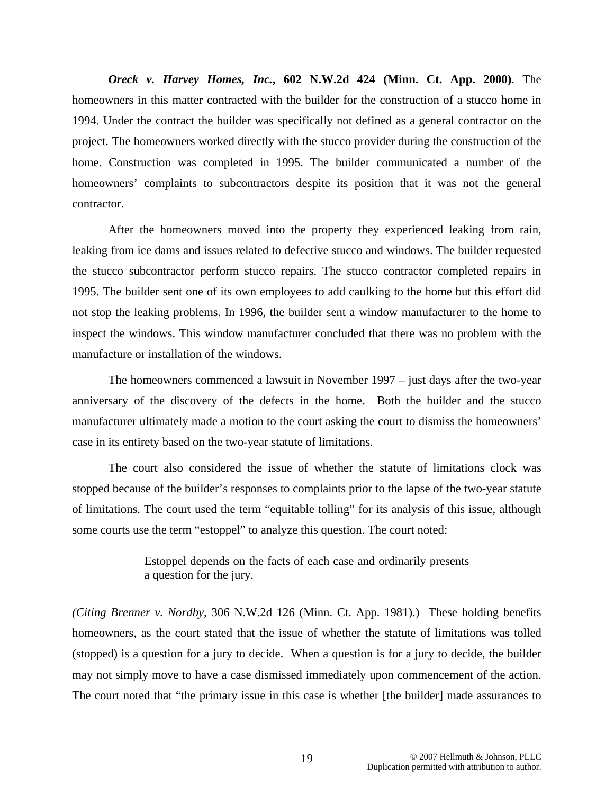*Oreck v. Harvey Homes, Inc.***, 602 N.W.2d 424 (Minn. Ct. App. 2000)**. The homeowners in this matter contracted with the builder for the construction of a stucco home in 1994. Under the contract the builder was specifically not defined as a general contractor on the project. The homeowners worked directly with the stucco provider during the construction of the home. Construction was completed in 1995. The builder communicated a number of the homeowners' complaints to subcontractors despite its position that it was not the general contractor.

 After the homeowners moved into the property they experienced leaking from rain, leaking from ice dams and issues related to defective stucco and windows. The builder requested the stucco subcontractor perform stucco repairs. The stucco contractor completed repairs in 1995. The builder sent one of its own employees to add caulking to the home but this effort did not stop the leaking problems. In 1996, the builder sent a window manufacturer to the home to inspect the windows. This window manufacturer concluded that there was no problem with the manufacture or installation of the windows.

 The homeowners commenced a lawsuit in November 1997 – just days after the two-year anniversary of the discovery of the defects in the home. Both the builder and the stucco manufacturer ultimately made a motion to the court asking the court to dismiss the homeowners' case in its entirety based on the two-year statute of limitations.

The court also considered the issue of whether the statute of limitations clock was stopped because of the builder's responses to complaints prior to the lapse of the two-year statute of limitations. The court used the term "equitable tolling" for its analysis of this issue, although some courts use the term "estoppel" to analyze this question. The court noted:

> Estoppel depends on the facts of each case and ordinarily presents a question for the jury.

*(Citing Brenner v. Nordby*, 306 N.W.2d 126 (Minn. Ct. App. 1981).) These holding benefits homeowners, as the court stated that the issue of whether the statute of limitations was tolled (stopped) is a question for a jury to decide. When a question is for a jury to decide, the builder may not simply move to have a case dismissed immediately upon commencement of the action. The court noted that "the primary issue in this case is whether [the builder] made assurances to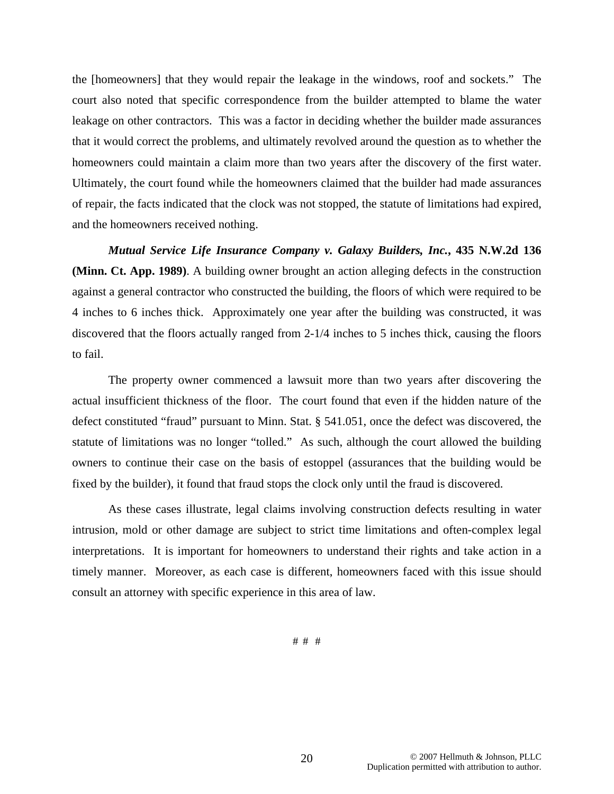the [homeowners] that they would repair the leakage in the windows, roof and sockets." The court also noted that specific correspondence from the builder attempted to blame the water leakage on other contractors. This was a factor in deciding whether the builder made assurances that it would correct the problems, and ultimately revolved around the question as to whether the homeowners could maintain a claim more than two years after the discovery of the first water. Ultimately, the court found while the homeowners claimed that the builder had made assurances of repair, the facts indicated that the clock was not stopped, the statute of limitations had expired, and the homeowners received nothing.

*Mutual Service Life Insurance Company v. Galaxy Builders, Inc.***, 435 N.W.2d 136 (Minn. Ct. App. 1989)**. A building owner brought an action alleging defects in the construction against a general contractor who constructed the building, the floors of which were required to be 4 inches to 6 inches thick. Approximately one year after the building was constructed, it was discovered that the floors actually ranged from 2-1/4 inches to 5 inches thick, causing the floors to fail.

 The property owner commenced a lawsuit more than two years after discovering the actual insufficient thickness of the floor. The court found that even if the hidden nature of the defect constituted "fraud" pursuant to Minn. Stat. § 541.051, once the defect was discovered, the statute of limitations was no longer "tolled." As such, although the court allowed the building owners to continue their case on the basis of estoppel (assurances that the building would be fixed by the builder), it found that fraud stops the clock only until the fraud is discovered.

 As these cases illustrate, legal claims involving construction defects resulting in water intrusion, mold or other damage are subject to strict time limitations and often-complex legal interpretations. It is important for homeowners to understand their rights and take action in a timely manner. Moreover, as each case is different, homeowners faced with this issue should consult an attorney with specific experience in this area of law.

# # #